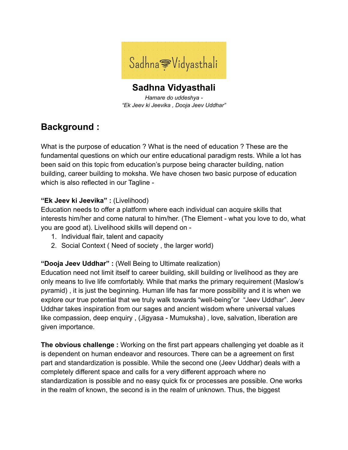

**Sadhna Vidyasthali** *Hamare do uddeshya - "Ek Jeev ki Jeevika , Dooja Jeev Uddhar"*

# **Background :**

What is the purpose of education ? What is the need of education ? These are the fundamental questions on which our entire educational paradigm rests. While a lot has been said on this topic from education's purpose being character building, nation building, career building to moksha. We have chosen two basic purpose of education which is also reflected in our Tagline -

## **"Ek Jeev ki Jeevika" :** (Livelihood)

Education needs to offer a platform where each individual can acquire skills that interests him/her and come natural to him/her. (The Element - what you love to do, what you are good at). Livelihood skills will depend on -

- 1. Individual flair, talent and capacity
- 2. Social Context ( Need of society , the larger world)

## **"Dooja Jeev Uddhar" :** (Well Being to Ultimate realization)

Education need not limit itself to career building, skill building or livelihood as they are only means to live life comfortably. While that marks the primary requirement (Maslow's pyramid) , it is just the beginning. Human life has far more possibility and it is when we explore our true potential that we truly walk towards "well-being"or "Jeev Uddhar". Jeev Uddhar takes inspiration from our sages and ancient wisdom where universal values like compassion, deep enquiry , (Jigyasa - Mumuksha) , love, salvation, liberation are given importance.

**The obvious challenge :** Working on the first part appears challenging yet doable as it is dependent on human endeavor and resources. There can be a agreement on first part and standardization is possible. While the second one (Jeev Uddhar) deals with a completely different space and calls for a very different approach where no standardization is possible and no easy quick fix or processes are possible. One works in the realm of known, the second is in the realm of unknown. Thus, the biggest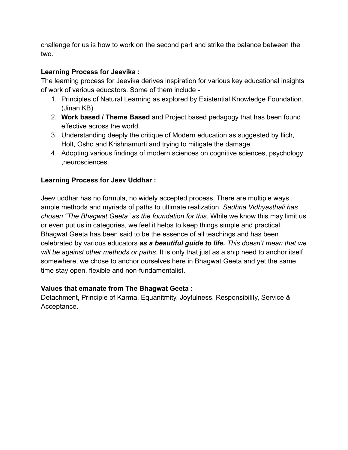challenge for us is how to work on the second part and strike the balance between the two.

## **Learning Process for Jeevika :**

The learning process for Jeevika derives inspiration for various key educational insights of work of various educators. Some of them include -

- 1. Principles of Natural Learning as explored by Existential Knowledge Foundation. (Jinan KB)
- 2. **Work based / Theme Based** and Project based pedagogy that has been found effective across the world.
- 3. Understanding deeply the critique of Modern education as suggested by Ilich, Holt, Osho and Krishnamurti and trying to mitigate the damage.
- 4. Adopting various findings of modern sciences on cognitive sciences, psychology ,neurosciences.

## **Learning Process for Jeev Uddhar :**

Jeev uddhar has no formula, no widely accepted process. There are multiple ways , ample methods and myriads of paths to ultimate realization. *Sadhna Vidhyasthali has chosen "The Bhagwat Geeta" as the foundation for this*. While we know this may limit us or even put us in categories, we feel it helps to keep things simple and practical. Bhagwat Geeta has been said to be the essence of all teachings and has been celebrated by various educators *as a beautiful guide to life. This doesn't mean that we will be against other methods or paths*. It is only that just as a ship need to anchor itself somewhere, we chose to anchor ourselves here in Bhagwat Geeta and yet the same time stay open, flexible and non-fundamentalist.

## **Values that emanate from The Bhagwat Geeta :**

Detachment, Principle of Karma, Equanitmity, Joyfulness, Responsibility, Service & Acceptance.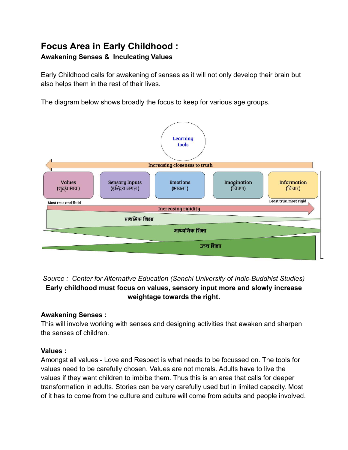## **Focus Area in Early Childhood : Awakening Senses & Inculcating Values**

Early Childhood calls for awakening of senses as it will not only develop their brain but also helps them in the rest of their lives.

The diagram below shows broadly the focus to keep for various age groups.



*Source : Center for Alternative Education (Sanchi University of Indic-Buddhist Studies)* **Early childhood must focus on values, sensory input more and slowly increase weightage towards the right.**

## **Awakening Senses :**

This will involve working with senses and designing activities that awaken and sharpen the senses of children.

## **Values :**

Amongst all values - Love and Respect is what needs to be focussed on. The tools for values need to be carefully chosen. Values are not morals. Adults have to live the values if they want children to imbibe them. Thus this is an area that calls for deeper transformation in adults. Stories can be very carefully used but in limited capacity. Most of it has to come from the culture and culture will come from adults and people involved.